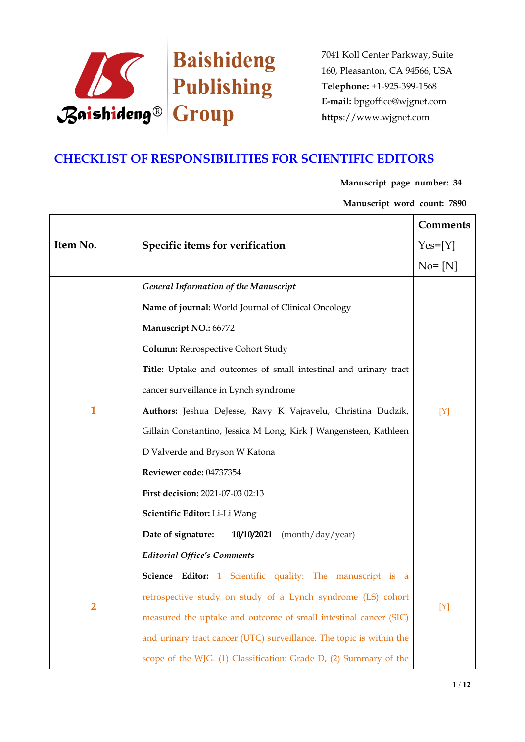

### **CHECKLIST OF RESPONSIBILITIES FOR SCIENTIFIC EDITORS**

### **Manuscript page number: 34**

**Manuscript word count: 7890**

|                |                                                                      | Comments   |
|----------------|----------------------------------------------------------------------|------------|
| Item No.       | Specific items for verification                                      | $Yes=[Y]$  |
|                |                                                                      | $No = [N]$ |
|                | <b>General Information of the Manuscript</b>                         |            |
|                | Name of journal: World Journal of Clinical Oncology                  |            |
|                | Manuscript NO.: 66772                                                |            |
|                | Column: Retrospective Cohort Study                                   |            |
|                | Title: Uptake and outcomes of small intestinal and urinary tract     |            |
|                | cancer surveillance in Lynch syndrome                                |            |
| $\mathbf{1}$   | Authors: Jeshua DeJesse, Ravy K Vajravelu, Christina Dudzik,         | $[Y]$      |
|                | Gillain Constantino, Jessica M Long, Kirk J Wangensteen, Kathleen    |            |
|                | D Valverde and Bryson W Katona                                       |            |
|                | Reviewer code: 04737354                                              |            |
|                | First decision: 2021-07-03 02:13                                     |            |
|                | Scientific Editor: Li-Li Wang                                        |            |
|                | Date of signature: $\frac{10}{10}\frac{2021}{200}$ (month/day/year)  |            |
|                | <b>Editorial Office's Comments</b>                                   |            |
|                | Science Editor: 1 Scientific quality: The manuscript is a            |            |
| $\overline{2}$ | retrospective study on study of a Lynch syndrome (LS) cohort         | [Y]        |
|                | measured the uptake and outcome of small intestinal cancer (SIC)     |            |
|                | and urinary tract cancer (UTC) surveillance. The topic is within the |            |
|                | scope of the WJG. (1) Classification: Grade D, (2) Summary of the    |            |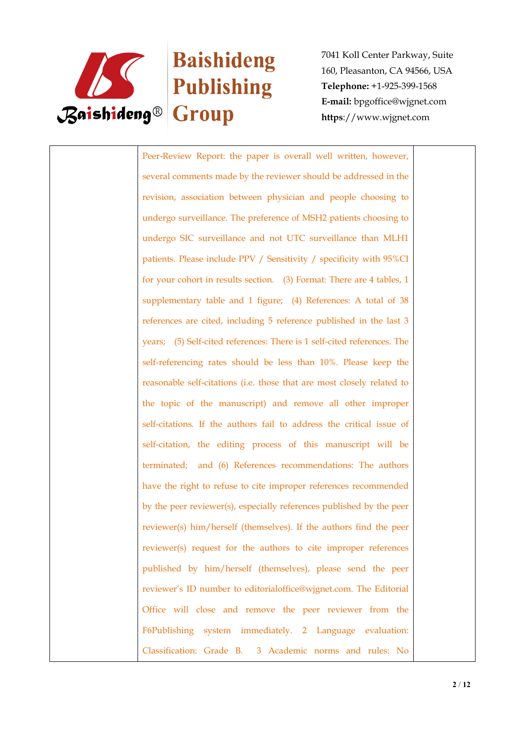

# Baishideng

7041 Koll Center Parkway, Suite 160, Pleasanton, CA 94566, USA **Telephone:** +1-925-399-1568 **E-mail:** bpgoffice@wjgnet.com **https**://www.wjgnet.com

Peer-Review Report: the paper is overall well written, however, several comments made by the reviewer should be addressed in the revision, association between physician and people choosing to undergo surveillance. The preference of MSH2 patients choosing to undergo SIC surveillance and not UTC surveillance than MLH1 patients. Please include PPV / Sensitivity / specificity with 95%CI for your cohort in results section. (3) Format: There are 4 tables, 1 supplementary table and 1 figure; (4) References: A total of 38 references are cited, including 5 reference published in the last 3 years; (5) Self-cited references: There is 1 self-cited references. The self-referencing rates should be less than 10%. Please keep the reasonable self-citations (i.e. those that are most closely related to the topic of the manuscript) and remove all other improper self-citations. If the authors fail to address the critical issue of self-citation, the editing process of this manuscript will be terminated; and (6) References recommendations: The authors have the right to refuse to cite improper references recommended by the peer reviewer(s), especially references published by the peer reviewer(s) him/herself (themselves). If the authors find the peer reviewer(s) request for the authors to cite improper references published by him/herself (themselves), please send the peer reviewer's ID number to editorialoffice@wjgnet.com. The Editorial Office will close and remove the peer reviewer from the F6Publishing system immediately. 2 Language evaluation: Classification: Grade B. 3 Academic norms and rules: No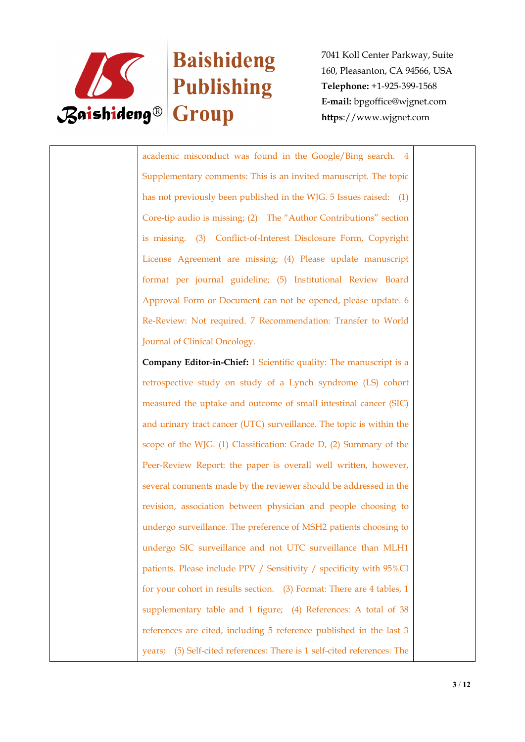

### Baishideng

7041 Koll Center Parkway, Suite 160, Pleasanton, CA 94566, USA **Telephone:** +1-925-399-1568 **E-mail:** bpgoffice@wjgnet.com **https**://www.wjgnet.com

academic misconduct was found in the Google/Bing search. 4 Supplementary comments: This is an invited manuscript. The topic has not previously been published in the WJG. 5 Issues raised: (1) Core-tip audio is missing; (2) The "Author Contributions" section is missing. (3) Conflict-of-Interest Disclosure Form, Copyright License Agreement are missing; (4) Please update manuscript format per journal guideline; (5) Institutional Review Board Approval Form or Document can not be opened, please update. 6 Re-Review: Not required. 7 Recommendation: Transfer to World Journal of Clinical Oncology.

**Company Editor-in-Chief:** 1 Scientific quality: The manuscript is a retrospective study on study of a Lynch syndrome (LS) cohort measured the uptake and outcome of small intestinal cancer (SIC) and urinary tract cancer (UTC) surveillance. The topic is within the scope of the WJG. (1) Classification: Grade D, (2) Summary of the Peer-Review Report: the paper is overall well written, however, several comments made by the reviewer should be addressed in the revision, association between physician and people choosing to undergo surveillance. The preference of MSH2 patients choosing to undergo SIC surveillance and not UTC surveillance than MLH1 patients. Please include PPV / Sensitivity / specificity with 95%CI for your cohort in results section. (3) Format: There are 4 tables, 1 supplementary table and 1 figure; (4) References: A total of 38 references are cited, including 5 reference published in the last 3 years; (5) Self-cited references: There is 1 self-cited references. The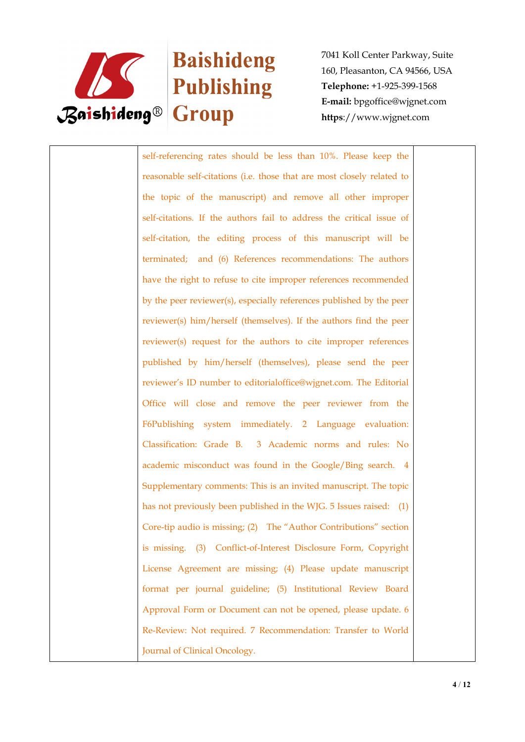

# Baishideng

7041 Koll Center Parkway, Suite 160, Pleasanton, CA 94566, USA **Telephone:** +1-925-399-1568 **E-mail:** bpgoffice@wjgnet.com **https**://www.wjgnet.com

self-referencing rates should be less than 10%. Please keep the reasonable self-citations (i.e. those that are most closely related to the topic of the manuscript) and remove all other improper self-citations. If the authors fail to address the critical issue of self-citation, the editing process of this manuscript will be terminated; and (6) References recommendations: The authors have the right to refuse to cite improper references recommended by the peer reviewer(s), especially references published by the peer reviewer(s) him/herself (themselves). If the authors find the peer reviewer(s) request for the authors to cite improper references published by him/herself (themselves), please send the peer reviewer's ID number to editorialoffice@wjgnet.com. The Editorial Office will close and remove the peer reviewer from the F6Publishing system immediately. 2 Language evaluation: Classification: Grade B. 3 Academic norms and rules: No academic misconduct was found in the Google/Bing search. 4 Supplementary comments: This is an invited manuscript. The topic has not previously been published in the WJG. 5 Issues raised: (1) Core-tip audio is missing; (2) The "Author Contributions" section is missing. (3) Conflict-of-Interest Disclosure Form, Copyright License Agreement are missing; (4) Please update manuscript format per journal guideline; (5) Institutional Review Board Approval Form or Document can not be opened, please update. 6 Re-Review: Not required. 7 Recommendation: Transfer to World Journal of Clinical Oncology.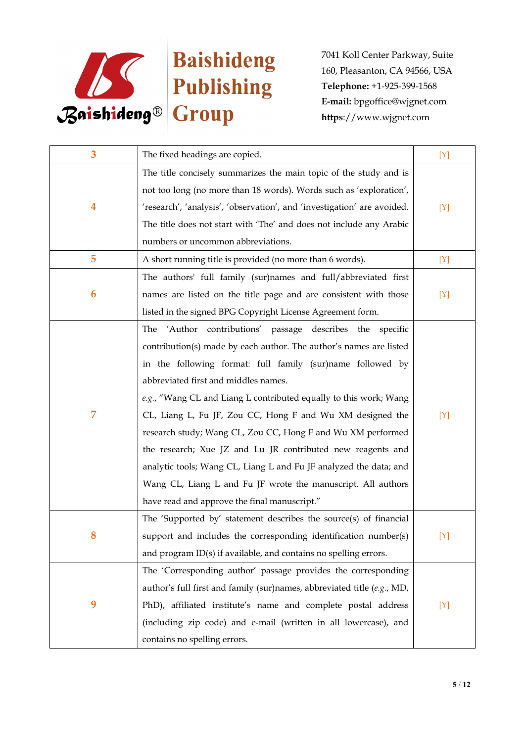

| 3                       | The fixed headings are copied.                                          | [Y]   |
|-------------------------|-------------------------------------------------------------------------|-------|
|                         | The title concisely summarizes the main topic of the study and is       |       |
|                         | not too long (no more than 18 words). Words such as 'exploration',      |       |
| $\overline{\mathbf{4}}$ | 'research', 'analysis', 'observation', and 'investigation' are avoided. | $[Y]$ |
|                         | The title does not start with 'The' and does not include any Arabic     |       |
|                         | numbers or uncommon abbreviations.                                      |       |
| 5                       | A short running title is provided (no more than 6 words).               | [Y]   |
|                         | The authors' full family (sur)names and full/abbreviated first          |       |
| 6                       | names are listed on the title page and are consistent with those        | $[Y]$ |
|                         | listed in the signed BPG Copyright License Agreement form.              |       |
|                         | 'Author contributions' passage describes the<br>The<br>specific         |       |
|                         | contribution(s) made by each author. The author's names are listed      |       |
|                         | in the following format: full family (sur)name followed by              |       |
|                         | abbreviated first and middles names.                                    |       |
|                         | e.g., "Wang CL and Liang L contributed equally to this work; Wang       |       |
| 7                       | CL, Liang L, Fu JF, Zou CC, Hong F and Wu XM designed the               | $[Y]$ |
|                         | research study; Wang CL, Zou CC, Hong F and Wu XM performed             |       |
|                         | the research; Xue JZ and Lu JR contributed new reagents and             |       |
|                         | analytic tools; Wang CL, Liang L and Fu JF analyzed the data; and       |       |
|                         | Wang CL, Liang L and Fu JF wrote the manuscript. All authors            |       |
|                         | have read and approve the final manuscript."                            |       |
|                         | The 'Supported by' statement describes the source(s) of financial       |       |
|                         | support and includes the corresponding identification number(s)         | [Y]   |
|                         | and program $ID(s)$ if available, and contains no spelling errors.      |       |
|                         | The 'Corresponding author' passage provides the corresponding           |       |
| 9                       | author's full first and family (sur)names, abbreviated title (e.g., MD, |       |
|                         | PhD), affiliated institute's name and complete postal address           | [Y]   |
|                         | (including zip code) and e-mail (written in all lowercase), and         |       |
|                         | contains no spelling errors.                                            |       |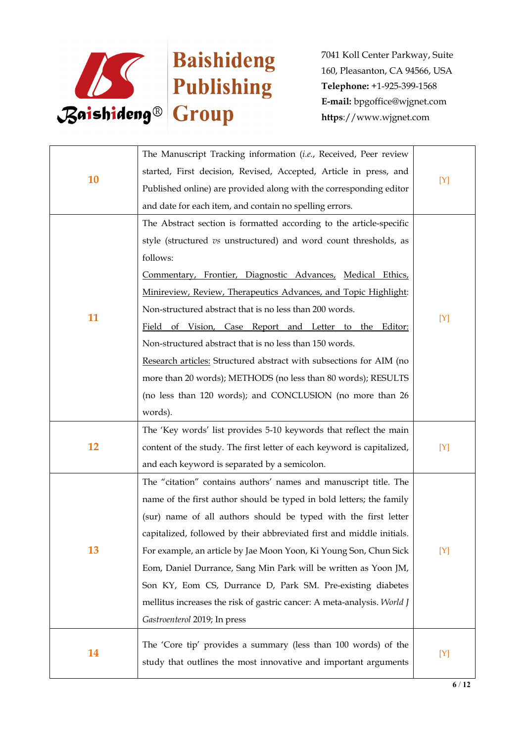

| 10 | The Manuscript Tracking information (i.e., Received, Peer review        |     |
|----|-------------------------------------------------------------------------|-----|
|    | started, First decision, Revised, Accepted, Article in press, and       | [Y] |
|    | Published online) are provided along with the corresponding editor      |     |
|    | and date for each item, and contain no spelling errors.                 |     |
|    | The Abstract section is formatted according to the article-specific     |     |
|    | style (structured vs unstructured) and word count thresholds, as        |     |
|    | follows:                                                                |     |
|    | Commentary, Frontier, Diagnostic Advances, Medical Ethics,              |     |
|    | Minireview, Review, Therapeutics Advances, and Topic Highlight:         |     |
|    | Non-structured abstract that is no less than 200 words.                 |     |
| 11 | Field of Vision, Case Report and Letter to the Editor:                  | [Y] |
|    | Non-structured abstract that is no less than 150 words.                 |     |
|    | Research articles: Structured abstract with subsections for AIM (no     |     |
|    | more than 20 words); METHODS (no less than 80 words); RESULTS           |     |
|    | (no less than 120 words); and CONCLUSION (no more than 26               |     |
|    | words).                                                                 |     |
|    | The 'Key words' list provides 5-10 keywords that reflect the main       |     |
| 12 | content of the study. The first letter of each keyword is capitalized,  | [Y] |
|    | and each keyword is separated by a semicolon.                           |     |
|    | The "citation" contains authors' names and manuscript title. The        |     |
|    | name of the first author should be typed in bold letters; the family    |     |
|    | (sur) name of all authors should be typed with the first letter         |     |
|    | capitalized, followed by their abbreviated first and middle initials.   |     |
| 13 | For example, an article by Jae Moon Yoon, Ki Young Son, Chun Sick       | [Y] |
|    | Eom, Daniel Durrance, Sang Min Park will be written as Yoon JM,         |     |
|    | Son KY, Eom CS, Durrance D, Park SM. Pre-existing diabetes              |     |
|    | mellitus increases the risk of gastric cancer: A meta-analysis. World J |     |
|    | Gastroenterol 2019; In press                                            |     |
|    | The 'Core tip' provides a summary (less than 100 words) of the          |     |
| 14 | study that outlines the most innovative and important arguments         | [Y] |
|    |                                                                         |     |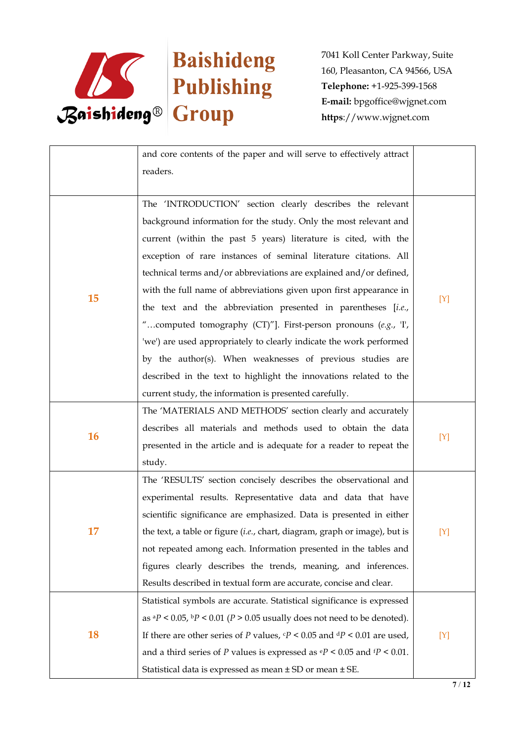

|           | and core contents of the paper and will serve to effectively attract<br>readers.               |     |
|-----------|------------------------------------------------------------------------------------------------|-----|
|           |                                                                                                |     |
|           | The 'INTRODUCTION' section clearly describes the relevant                                      |     |
|           | background information for the study. Only the most relevant and                               |     |
|           | current (within the past 5 years) literature is cited, with the                                |     |
|           | exception of rare instances of seminal literature citations. All                               |     |
|           | technical terms and/or abbreviations are explained and/or defined,                             |     |
|           | with the full name of abbreviations given upon first appearance in                             |     |
| 15        | the text and the abbreviation presented in parentheses [i.e.,                                  | [Y] |
|           | "computed tomography (CT)"]. First-person pronouns (e.g., T,                                   |     |
|           | 'we') are used appropriately to clearly indicate the work performed                            |     |
|           | by the author(s). When weaknesses of previous studies are                                      |     |
|           | described in the text to highlight the innovations related to the                              |     |
|           | current study, the information is presented carefully.                                         |     |
|           | The 'MATERIALS AND METHODS' section clearly and accurately                                     |     |
| <b>16</b> | describes all materials and methods used to obtain the data                                    |     |
|           | presented in the article and is adequate for a reader to repeat the                            | [Y] |
|           | study.                                                                                         |     |
|           | The 'RESULTS' section concisely describes the observational and                                |     |
|           | experimental results. Representative data and data that have                                   |     |
|           | scientific significance are emphasized. Data is presented in either                            |     |
| 17        | the text, a table or figure (i.e., chart, diagram, graph or image), but is                     | [Y] |
|           | not repeated among each. Information presented in the tables and                               |     |
|           | figures clearly describes the trends, meaning, and inferences.                                 |     |
|           | Results described in textual form are accurate, concise and clear.                             |     |
| <b>18</b> | Statistical symbols are accurate. Statistical significance is expressed                        |     |
|           | as ${}^{a}P$ < 0.05, ${}^{b}P$ < 0.01 (P > 0.05 usually does not need to be denoted).          |     |
|           | If there are other series of P values, $\mathbf{c}P < 0.05$ and $\mathbf{d}P < 0.01$ are used, | [Y] |
|           | and a third series of P values is expressed as $\mathbb{P}$ < 0.05 and $\mathbb{P}$ < 0.01.    |     |
|           | Statistical data is expressed as mean ± SD or mean ± SE.                                       |     |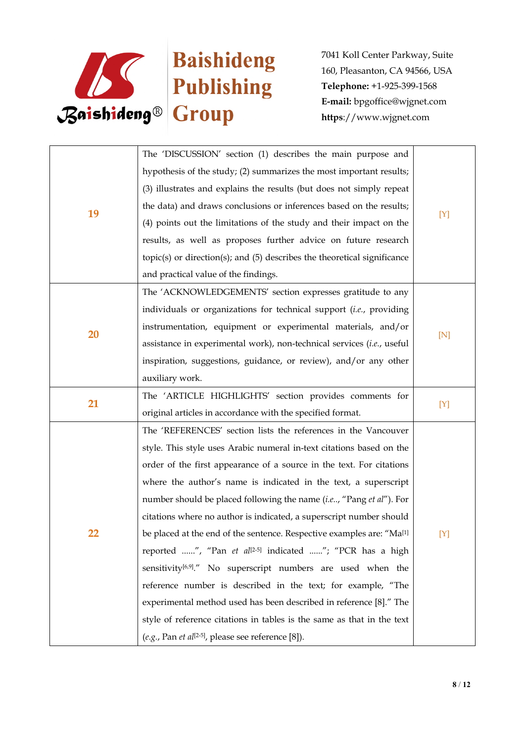

| 19 | The 'DISCUSSION' section (1) describes the main purpose and                       |     |
|----|-----------------------------------------------------------------------------------|-----|
|    | hypothesis of the study; (2) summarizes the most important results;               |     |
|    | (3) illustrates and explains the results (but does not simply repeat              |     |
|    | the data) and draws conclusions or inferences based on the results;               | [Y] |
|    | (4) points out the limitations of the study and their impact on the               |     |
|    | results, as well as proposes further advice on future research                    |     |
|    | $topic(s)$ or direction(s); and (5) describes the theoretical significance        |     |
|    | and practical value of the findings.                                              |     |
|    | The 'ACKNOWLEDGEMENTS' section expresses gratitude to any                         |     |
|    | individuals or organizations for technical support (i.e., providing               |     |
|    | instrumentation, equipment or experimental materials, and/or                      |     |
| 20 | assistance in experimental work), non-technical services (i.e., useful            | [N] |
|    | inspiration, suggestions, guidance, or review), and/or any other                  |     |
|    | auxiliary work.                                                                   |     |
| 21 | The 'ARTICLE HIGHLIGHTS' section provides comments for                            |     |
|    | original articles in accordance with the specified format.                        | [Y] |
|    | The 'REFERENCES' section lists the references in the Vancouver                    |     |
|    | style. This style uses Arabic numeral in-text citations based on the              |     |
|    | order of the first appearance of a source in the text. For citations              |     |
|    | where the author's name is indicated in the text, a superscript                   |     |
|    | number should be placed following the name (i.e, "Pang et al"). For               | [Y] |
|    | citations where no author is indicated, a superscript number should               |     |
| 22 | be placed at the end of the sentence. Respective examples are: "Ma <sup>[1]</sup> |     |
|    | reported ", "Pan et al <sup>[2-5]</sup> indicated "; "PCR has a high              |     |
|    | sensitivity <sup>[6,9]</sup> ." No superscript numbers are used when the          |     |
|    | reference number is described in the text; for example, "The                      |     |
|    | experimental method used has been described in reference [8]." The                |     |
|    | style of reference citations in tables is the same as that in the text            |     |
|    | $(e.g., Pan et al[2-5], please see reference [8]).$                               |     |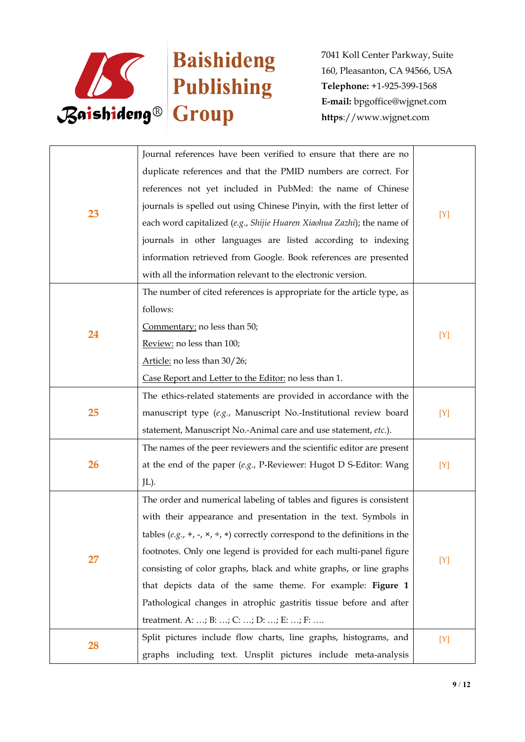

|    | Journal references have been verified to ensure that there are no                   |     |
|----|-------------------------------------------------------------------------------------|-----|
|    | duplicate references and that the PMID numbers are correct. For                     |     |
|    | references not yet included in PubMed: the name of Chinese                          |     |
|    | journals is spelled out using Chinese Pinyin, with the first letter of              |     |
| 23 | each word capitalized (e.g., Shijie Huaren Xiaohua Zazhi); the name of              | [Y] |
|    | journals in other languages are listed according to indexing                        |     |
|    | information retrieved from Google. Book references are presented                    |     |
|    | with all the information relevant to the electronic version.                        |     |
|    | The number of cited references is appropriate for the article type, as              |     |
|    | follows:                                                                            |     |
| 24 | Commentary: no less than 50;                                                        |     |
|    | Review: no less than 100;                                                           | [Y] |
|    | Article: no less than 30/26;                                                        |     |
|    | Case Report and Letter to the Editor: no less than 1.                               |     |
|    | The ethics-related statements are provided in accordance with the                   |     |
| 25 | manuscript type (e.g., Manuscript No.-Institutional review board                    | [Y] |
|    | statement, Manuscript No.-Animal care and use statement, etc.).                     |     |
|    | The names of the peer reviewers and the scientific editor are present               |     |
| 26 | at the end of the paper $(e.g., P\text{-}Reviewer: Hugot D \text{ S-Editor: Wang})$ | [Y] |
|    | JL).                                                                                |     |
|    | The order and numerical labeling of tables and figures is consistent                |     |
|    | with their appearance and presentation in the text. Symbols in                      |     |
|    | tables (e.g., +, -, ×, ÷, *) correctly correspond to the definitions in the         |     |
| 27 | footnotes. Only one legend is provided for each multi-panel figure                  | [Y] |
|    | consisting of color graphs, black and white graphs, or line graphs                  |     |
|    | that depicts data of the same theme. For example: Figure 1                          |     |
|    | Pathological changes in atrophic gastritis tissue before and after                  |     |
|    | treatment. A: ; B: ; C: ; D: ; E: ; F:                                              |     |
| 28 | Split pictures include flow charts, line graphs, histograms, and                    | [Y] |
|    | graphs including text. Unsplit pictures include meta-analysis                       |     |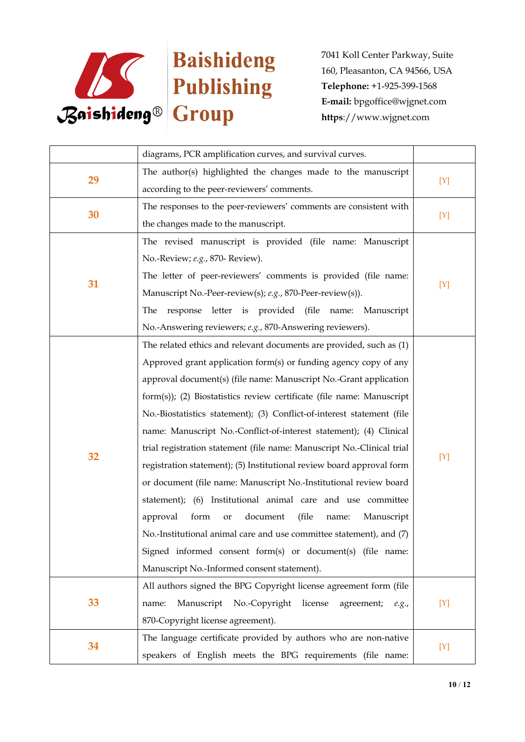

|    | diagrams, PCR amplification curves, and survival curves.               |       |
|----|------------------------------------------------------------------------|-------|
| 29 | The author(s) highlighted the changes made to the manuscript           |       |
|    | according to the peer-reviewers' comments.                             | $[Y]$ |
| 30 | The responses to the peer-reviewers' comments are consistent with      |       |
|    | the changes made to the manuscript.                                    | [Y]   |
|    | The revised manuscript is provided (file name: Manuscript              |       |
|    | No.-Review; e.g., 870- Review).                                        |       |
|    | The letter of peer-reviewers' comments is provided (file name:         |       |
| 31 | Manuscript No.-Peer-review(s); e.g., 870-Peer-review(s)).              | $[Y]$ |
|    | response letter is provided (file name: Manuscript<br>The              |       |
|    | No.-Answering reviewers; e.g., 870-Answering reviewers).               |       |
|    | The related ethics and relevant documents are provided, such as (1)    |       |
|    | Approved grant application form(s) or funding agency copy of any       |       |
|    | approval document(s) (file name: Manuscript No.-Grant application      |       |
|    | form(s)); (2) Biostatistics review certificate (file name: Manuscript  |       |
|    | No.-Biostatistics statement); (3) Conflict-of-interest statement (file |       |
|    | name: Manuscript No.-Conflict-of-interest statement); (4) Clinical     |       |
|    | trial registration statement (file name: Manuscript No.-Clinical trial |       |
| 32 | registration statement); (5) Institutional review board approval form  | $[Y]$ |
|    | or document (file name: Manuscript No.-Institutional review board      |       |
|    | statement); (6) Institutional animal care and use committee            |       |
|    | document<br>(file<br>approval<br>form<br>Manuscript<br>or<br>name:     |       |
|    | No.-Institutional animal care and use committee statement), and (7)    |       |
|    | Signed informed consent form(s) or document(s) (file name:             |       |
|    | Manuscript No.-Informed consent statement).                            |       |
| 33 | All authors signed the BPG Copyright license agreement form (file      |       |
|    | Manuscript No.-Copyright license<br>agreement;<br>name:<br>e.g.,       | [Y]   |
|    | 870-Copyright license agreement).                                      |       |
|    | The language certificate provided by authors who are non-native        |       |
| 34 | speakers of English meets the BPG requirements (file name:             | [Y]   |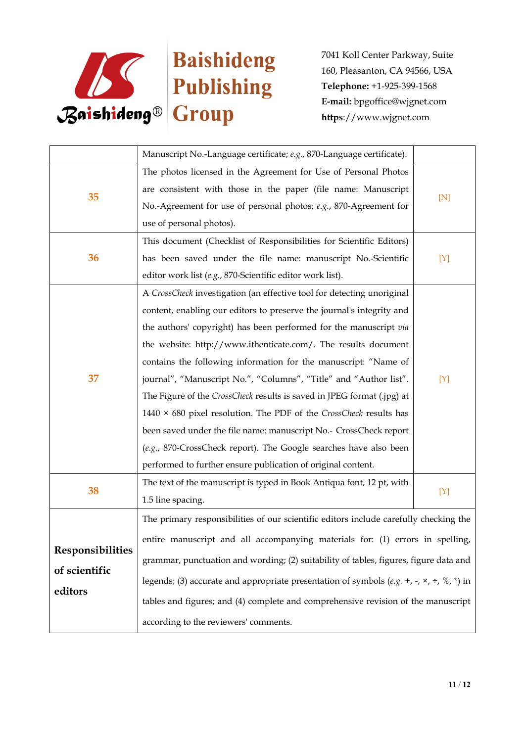

|                         | Manuscript No.-Language certificate; e.g., 870-Language certificate).                                            |     |
|-------------------------|------------------------------------------------------------------------------------------------------------------|-----|
|                         | The photos licensed in the Agreement for Use of Personal Photos                                                  |     |
|                         | are consistent with those in the paper (file name: Manuscript                                                    |     |
| 35                      | No.-Agreement for use of personal photos; e.g., 870-Agreement for                                                | [N] |
|                         | use of personal photos).                                                                                         |     |
|                         | This document (Checklist of Responsibilities for Scientific Editors)                                             |     |
| 36                      | has been saved under the file name: manuscript No.-Scientific                                                    | [Y] |
|                         | editor work list (e.g., 870-Scientific editor work list).                                                        |     |
|                         | A CrossCheck investigation (an effective tool for detecting unoriginal                                           |     |
|                         | content, enabling our editors to preserve the journal's integrity and                                            |     |
|                         | the authors' copyright) has been performed for the manuscript via                                                |     |
|                         | the website: http://www.ithenticate.com/. The results document                                                   |     |
|                         | contains the following information for the manuscript: "Name of                                                  |     |
| 37                      | journal", "Manuscript No.", "Columns", "Title" and "Author list".                                                | [Y] |
|                         | The Figure of the CrossCheck results is saved in JPEG format (.jpg) at                                           |     |
|                         | 1440 $\times$ 680 pixel resolution. The PDF of the CrossCheck results has                                        |     |
|                         | been saved under the file name: manuscript No.- CrossCheck report                                                |     |
|                         | (e.g., 870-CrossCheck report). The Google searches have also been                                                |     |
|                         | performed to further ensure publication of original content.                                                     |     |
|                         | The text of the manuscript is typed in Book Antiqua font, 12 pt, with                                            |     |
| 38                      | 1.5 line spacing.                                                                                                | [Y] |
|                         | The primary responsibilities of our scientific editors include carefully checking the                            |     |
|                         | entire manuscript and all accompanying materials for: (1) errors in spelling,                                    |     |
| <b>Responsibilities</b> | grammar, punctuation and wording; (2) suitability of tables, figures, figure data and                            |     |
| of scientific           |                                                                                                                  |     |
| editors                 | legends; (3) accurate and appropriate presentation of symbols (e.g. +, -, $\times$ , $\div$ , $\%$ , $\ast$ ) in |     |
|                         | tables and figures; and (4) complete and comprehensive revision of the manuscript                                |     |
|                         | according to the reviewers' comments.                                                                            |     |